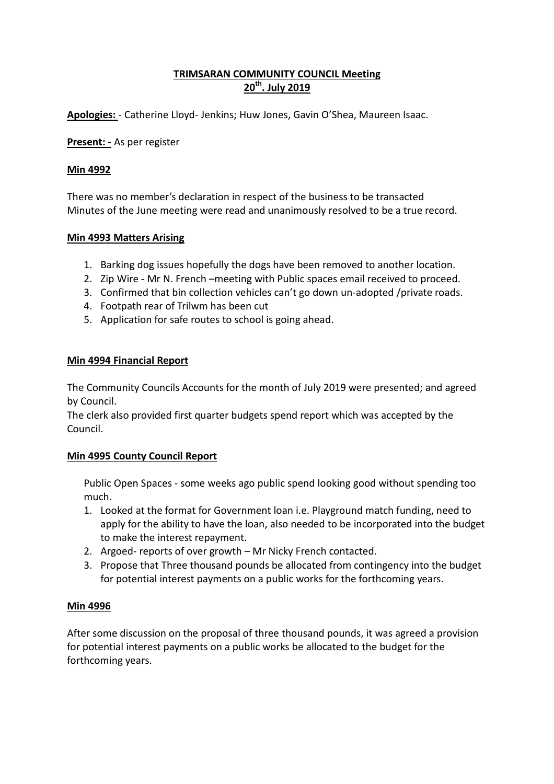# **TRIMSARAN COMMUNITY COUNCIL Meeting 20th. July 2019**

**Apologies:** - Catherine Lloyd- Jenkins; Huw Jones, Gavin O'Shea, Maureen Isaac.

**Present: -** As per register

### **Min 4992**

There was no member's declaration in respect of the business to be transacted Minutes of the June meeting were read and unanimously resolved to be a true record.

### **Min 4993 Matters Arising**

- 1. Barking dog issues hopefully the dogs have been removed to another location.
- 2. Zip Wire Mr N. French –meeting with Public spaces email received to proceed.
- 3. Confirmed that bin collection vehicles can't go down un-adopted /private roads.
- 4. Footpath rear of Trilwm has been cut
- 5. Application for safe routes to school is going ahead.

### **Min 4994 Financial Report**

The Community Councils Accounts for the month of July 2019 were presented; and agreed by Council.

The clerk also provided first quarter budgets spend report which was accepted by the Council.

# **Min 4995 County Council Report**

Public Open Spaces - some weeks ago public spend looking good without spending too much.

- 1. Looked at the format for Government loan i.e. Playground match funding, need to apply for the ability to have the loan, also needed to be incorporated into the budget to make the interest repayment.
- 2. Argoed- reports of over growth Mr Nicky French contacted.
- 3. Propose that Three thousand pounds be allocated from contingency into the budget for potential interest payments on a public works for the forthcoming years.

#### **Min 4996**

After some discussion on the proposal of three thousand pounds, it was agreed a provision for potential interest payments on a public works be allocated to the budget for the forthcoming years.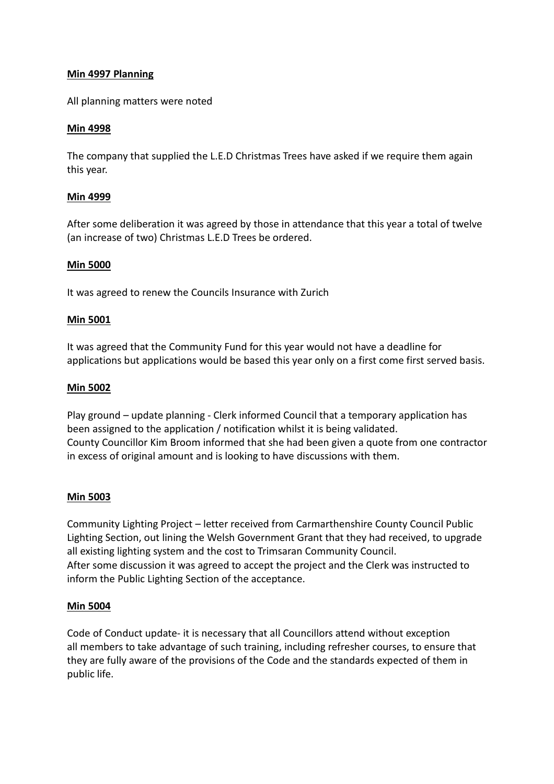### **Min 4997 Planning**

All planning matters were noted

### **Min 4998**

The company that supplied the L.E.D Christmas Trees have asked if we require them again this year.

### **Min 4999**

After some deliberation it was agreed by those in attendance that this year a total of twelve (an increase of two) Christmas L.E.D Trees be ordered.

### **Min 5000**

It was agreed to renew the Councils Insurance with Zurich

#### **Min 5001**

It was agreed that the Community Fund for this year would not have a deadline for applications but applications would be based this year only on a first come first served basis.

#### **Min 5002**

Play ground – update planning - Clerk informed Council that a temporary application has been assigned to the application / notification whilst it is being validated. County Councillor Kim Broom informed that she had been given a quote from one contractor in excess of original amount and is looking to have discussions with them.

# **Min 5003**

Community Lighting Project – letter received from Carmarthenshire County Council Public Lighting Section, out lining the Welsh Government Grant that they had received, to upgrade all existing lighting system and the cost to Trimsaran Community Council. After some discussion it was agreed to accept the project and the Clerk was instructed to inform the Public Lighting Section of the acceptance.

#### **Min 5004**

Code of Conduct update- it is necessary that all Councillors attend without exception all members to take advantage of such training, including refresher courses, to ensure that they are fully aware of the provisions of the Code and the standards expected of them in public life.